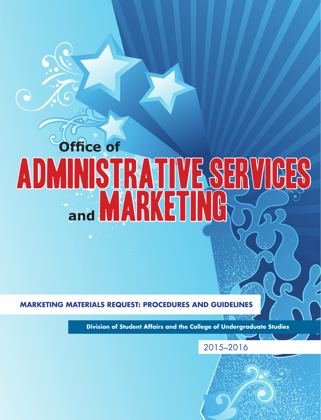# **Office of** ADMINISTRATIVE SERVICES **and MARKETING**

**MARKETING MATERIALS REQUEST: PROCEDURES AND GUIDELINES**

 $\bigcirc$ 

**Division of Student Affairs and the College of Undergraduate Studies**

# 2015–2016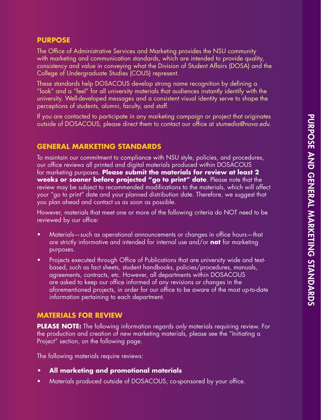# **PURPOSE**

The Office of Administrative Services and Marketing provides the NSU community with marketing and communication standards, which are intended to provide quality, consistency and value in conveying what the Division of Student Affairs (DOSA) and the College of Undergraduate Studies (COUS) represent.

These standards help DOSACOUS develop strong name recognition by defining a "look" and a "feel" for all university materials that audiences instantly identify with the university. Well-developed messages and a consistent visual identity serve to shape the perceptions of students, alumni, faculty, and staff.

If you are contacted to participate in any marketing campaign or project that originates outside of DOSACOUS, please direct them to contact our office at *stumedia@nova.edu*.

### **GENERAL MARKETING STANDARDS**

To maintain our commitment to compliance with NSU style, policies, and procedures, our office reviews all printed and digital materials produced within DOSACOUS for marketing purposes. **Please submit the materials for review at least 2 weeks or sooner before projected "go to print" date**. Please note that the review may be subject to recommended modifications to the materials, which will affect your "go to print" date and your planned distribution date. Therefore, we suggest that you plan ahead and contact us as soon as possible.

However, materials that meet one or more of the following criteria do NOT need to be reviewed by our office:

- • Materials—such as operational announcements or changes in office hours—that are strictly informative and intended for internal use and/or **not** for marketing purposes.
- Projects executed through Office of Publications that are university wide and textbased, such as fact sheets, student handbooks, policies/procedures, manuals, agreements, contracts, etc. However, all departments within DOSACOUS are asked to keep our office informed of any revisions or changes in the aforementioned projects, in order for our office to be aware of the most up-to-date information pertaining to each department.

# **MATERIALS FOR REVIEW**

**PLEASE NOTE:** The following information regards *only* materials requiring review. For the production and creation of new marketing materials, please see the "Initiating a Project" section, on the following page.

The following materials require reviews:

- **• All marketing and promotional materials**
- Materials produced outside of DOSACOUS, co-sponsored by your office.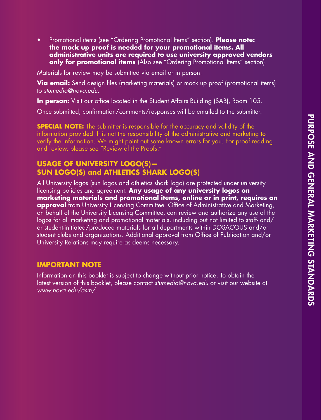• Promotional items (see "Ordering Promotional Items" section). **Please note: the mock up proof is needed for your promotional items. All administrative units are required to use university approved vendors only for promotional items** (Also see "Ordering Promotional Items" section).

Materials for review may be submitted via email or in person.

**Via email:** Send design files (marketing materials) or mock up proof (promotional items) to *stumedia@nova.edu.*

**In person:** Visit our office located in the Student Affairs Building (SAB), Room 105.

Once submitted, confirmation/comments/responses will be emailed to the submitter.

**SPECIAL NOTE:** The submitter is responsible for the accuracy and validity of the information provided. It is not the responsibility of the administrative and marketing to verify the information. We might point out some known errors for you. For proof reading and review, please see "Review of the Proofs."

# **USAGE OF UNIVERSITY LOGO(S)— SUN LOGO(S) and ATHLETICS SHARK LOGO(S)**

All University logos (sun logos and athletics shark logo) are protected under university licensing policies and agreement. **Any usage of any university logos on marketing materials and promotional items, online or in print, requires an approval** from University Licensing Committee. Office of Administrative and Marketing, on behalf of the University Licensing Committee, can review and authorize any use of the logos for all marketing and promotional materials, including but not limited to staff- and/ or student-initiated/produced materials for all departments within DOSACOUS and/or student clubs and organizations. Additional approval from Office of Publication and/or University Relations may require as deems necessary.

## **IMPORTANT NOTE**

Information on this booklet is subject to change without prior notice. To obtain the latest version of this booklet, please contact *stumedia@nova.edu* or visit our website at *www.nova.edu/asm/.*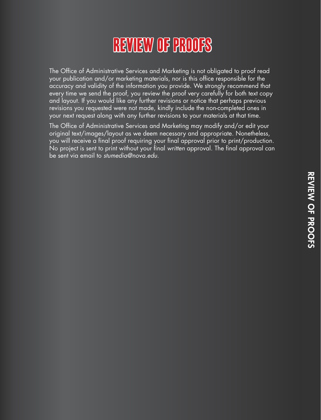# Review of Proofs

The Office of Administrative Services and Marketing is not obligated to proof read your publication and/or marketing materials, nor is this office responsible for the accuracy and validity of the information you provide. We strongly recommend that every time we send the proof, you review the proof very carefully for both text copy and layout. If you would like any further revisions or notice that perhaps previous revisions you requested were not made, kindly include the non-completed ones in your next request along with any further revisions to your materials at that time.

The Office of Administrative Services and Marketing may modify and/or edit your original text/images/layout as we deem necessary and appropriate. Nonetheless, you will receive a final proof requiring your final approval prior to print/production. No project is sent to print without your final *written* approval. The final approval can be sent via email to *stumedia@nova.edu*.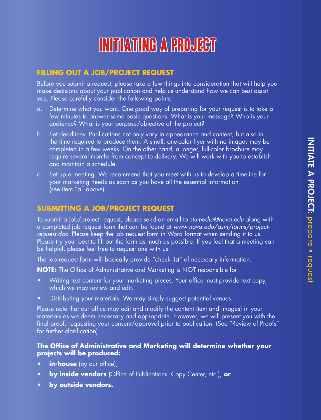# Initiating a Project

# **FILLING OUT A JOB/PROJECT REQUEST**

Before you submit a request, please take a few things into consideration that will help you make decisions about your publication and help us understand how we can best assist you. Please carefully consider the following points:

- Determine what you want. One good way of preparing for your request is to take a few minutes to answer some basic questions: What is your message? Who is your audience? What is your purpose/objective of the project?
- b. Set deadlines. Publications not only vary in appearance and content, but also in the time required to produce them. A small, one-color flyer with no images may be completed in a few weeks. On the other hand, a longer, full-color brochure may require several months from concept to delivery. We will work with you to establish and maintain a schedule.
- c. Set up a meeting. We recommend that you meet with us to develop a timeline for your marketing needs as soon as you have all the essential information (see item "a" above).

# **SUBMITTING A JOB/PROJECT REQUEST**

To submit a job/project request, please send an email to *stumedia@nova.edu* along with a completed job request form that can be found at *www.nova.edu/asm/forms/projectrequest.doc.* Please keep the job request form in Word format when sending it to us. Please try your best to fill out the form as much as possible. If you feel that a meeting can be helpful, please feel free to request one with us.

The job request form will basically provide "check list" of necessary information.

**NOTE:** The Office of Administrative and Marketing is NOT responsible for:

- Writing text content for your marketing pieces. Your office must provide text copy, which we may review and edit.
- Distributing your materials. We may simply suggest potential venues.

Please note that our office may edit and modify the content (text and images) in your materials as we deem necessary and appropriate. However, we will present you with the final proof, requesting your consent/approval prior to publication. (See "Review of Proofs" for further clarification).

### **The Office of Administrative and Marketing will determine whether your projects will be produced:**

- **in-house** (by our office),
- **by inside vendors** (Office of Publications, Copy Center, etc.), or
- **• by outside vendors.**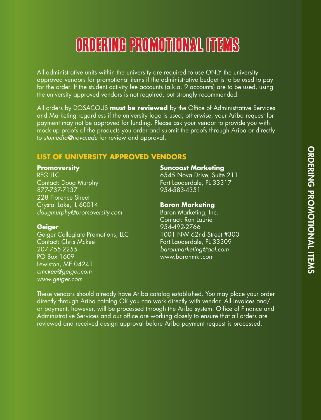# Ordering Promotional Items

All administrative units within the university are required to use ONLY the university approved vendors for promotional items if the administrative budget is to be used to pay for the order. If the student activity fee accounts (a.k.a. 9 accounts) are to be used, using the university approved vendors is not required, but strongly recommended.

All orders by DOSACOUS **must be reviewed** by the Office of Administrative Services and Marketing regardless if the university logo is used; otherwise, your Ariba request for payment may not be approved for funding. Please ask your vendor to provide you with mock up proofs of the products you order and submit the proofs through Ariba or directly to *stumedia@nova.edu* for review and approval.

# **LIST OF UNIVERSITY APPROVED VENDORS**

#### **Promoversity**

RFQ LLC Contact: Doug Murphy 877-737-7137 228 Florence Street Crystal Lake, IL 60014 *dougmurphy@promoversity.com*

# **Geiger**

Geiger Collegiate Promotions, LLC Contact: Chris Mckee 207-755-2255 PO Box 1609 Lewiston, ME 04241 *cmckee@geiger.com www.geiger.com*

#### **Suncoast Marketing**

6545 Nova Drive, Suite 211 Fort Lauderdale, FL 33317 954-583-4351

#### **Baron Marketing**

Baron Marketing, Inc. Contact: Ron Laurie 954-492-2766 1001 NW 62nd Street #300 Fort Lauderdale, FL 33309 *baronmarketing@aol.com* www.baronmkt.com

These vendors should already have Ariba catalog established. You may place your order directly through Ariba catalog OR you can work directly with vendor. All invoices and/ or payment, however, will be processed through the Ariba system. Office of Finance and Administrative Services and our office are working closely to ensure that all orders are reviewed and received design approval before Ariba payment request is processed.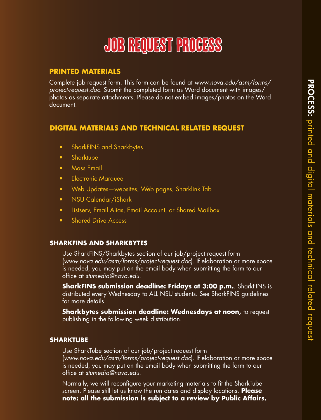# Job Request Process

# **PRINTED MATERIALS**

Complete job request form. This form can be found at *www.nova.edu/asm/forms/ project-request.doc.* Submit the completed form as Word document with images/ photos as separate attachments. Please do not embed images/photos on the Word document.

# **DIGITAL MATERIALS AND TECHNICAL RELATED REQUEST**

- • SharkFINS and Sharkbytes
- Sharktube
- Mass Email
- **•** Electronic Marquee
- Web Updates—websites, Web pages, Sharklink Tab
- NSU Calendar/iShark
- Listserv, Email Alias, Email Account, or Shared Mailbox
- Shared Drive Access

### **SHARKFINS AND SHARKBYTES**

Use SharkFINS/Sharkbytes section of our job/project request form (*www.nova.edu/asm/forms/project-request.doc*). If elaboration or more space is needed, you may put on the email body when submitting the form to our office at *stumedia@nova.edu*.

**SharkFINS submission deadline: Fridays at 3:00 p.m.**. SharkFINS is distributed every Wednesday to ALL NSU students. See SharkFINS guidelines for more details.

**Sharkbytes submission deadline: Wednesdays at noon,** to request publishing in the following week distribution.

### **SHARKTUBE**

Use SharkTube section of our job/project request form (*www.nova.edu/asm/forms/project-request.doc*). If elaboration or more space is needed, you may put on the email body when submitting the form to our office at *stumedia@nova.edu*.

Normally, we will reconfigure your marketing materials to fit the SharkTube screen. Please still let us know the run dates and display locations. **Please note: all the submission is subject to a review by Public Affairs.**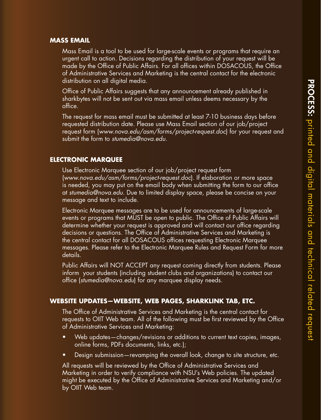#### **MASS EMAIL**

Mass Email is a tool to be used for large-scale events or programs that require an urgent call to action. Decisions regarding the distribution of your request will be made by the Office of Public Affairs. For all offices within DOSACOUS, the Office of Administrative Services and Marketing is the central contact for the electronic distribution on all digital media.

Office of Public Affairs suggests that any announcement already published in sharkbytes will not be sent out via mass email unless deems necessary by the office.

The request for mass email must be submitted at least 7-10 business days before requested distribution date. Please use Mass Email section of our job/project request form (*www.nova.edu/asm/forms/project-request.doc*) for your request and submit the form to *stumedia@nova.edu*.

#### **ELECTRONIC MARQUEE**

Use Electronic Marquee section of our job/project request form (*www.nova.edu/asm/forms/project-request.doc*). If elaboration or more space is needed, you may put on the email body when submitting the form to our office at *stumedia@nova.edu*. Due to limited display space, please be concise on your message and text to include.

Electronic Marquee messages are to be used for announcements of large-scale events or programs that MUST be open to public. The Office of Public Affairs will determine whether your request is approved and will contact our office regarding decisions or questions. The Office of Administrative Services and Marketing is the central contact for all DOSACOUS offices requesting Electronic Marquee messages. Please refer to the Electronic Marquee Rules and Request Form for more details.

Public Affairs will NOT ACCEPT any request coming directly from students. Please inform your students (including student clubs and organizations) to contact our office (*stumedia@nova.edu*) for any marquee display needs.

#### **WEBSITE UPDATES—WEBSITE, WEB PAGES, SHARKLINK TAB, ETC.**

The Office of Administrative Services and Marketing is the central contact for requests to OIIT Web team. All of the following must be first reviewed by the Office of Administrative Services and Marketing:

- Web updates—changes/revisions or additions to current text copies, images, online forms, PDFs documents, links, etc.);
- Design submission—revamping the overall look, change to site structure, etc.

All requests will be reviewed by the Office of Administrative Services and Marketing in order to verify compliance with NSU's Web policies. The updated might be executed by the Office of Administrative Services and Marketing and/or by OIIT Web team.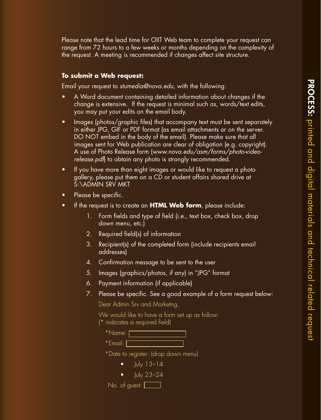Please note that the lead time for OIIT Web team to complete your request can range from 72 hours to a few weeks or months depending on the complexity of the request. A meeting is recommended if changes affect site structure.

#### **To submit a Web request:**

Email your request to *stumedia@nova.edu,* with the following:

- A Word document containing detailed information about changes if the change is extensive. If the request is minimal such as, words/text edits, you may put your edits on the email body.
- Images (photos/graphic files) that accompany text must be sent separately in either JPG, GIF or PDF format (as email attachments or on the server. DO NOT embed in the body of the email). Please make sure that all images sent for Web publication are clear of obligation (e.g. copyright). A use of Photo Release form (*www.nova.edu/asm/forms/photo-videorelease.pdf*) to obtain any photo is strongly recommended.
- • If you have more than eight images or would like to request a photo gallery, please put them on a CD or student affairs shared drive at S:\ADMIN SRV MKT
- Please be specific.
- • If the request is to create an **HTML Web form**, please include:
	- 1. Form fields and type of field (i.e., text box, check box, drop down menu, etc.)
	- 2. Required field(s) of information
	- 3. Recipient(s) of the completed form (include recipients email addresses)
	- 4. Confirmation message to be sent to the user
	- 5. Images (graphics/photos, if any) in "JPG" format
	- 6. Payment information (if applicable)
	- 7. Please be specific. See a good example of a form request below:

Dear Admin Srv and Marketng,

We would like to have a form set up as follow: (\* indicates a required field)

| *Name: |  |  |  |
|--------|--|--|--|
|        |  |  |  |

\*Email:

\*Date to register: (drop down menu)

- • July 13–14
- $\bullet$   $\blacksquare$   $\blacksquare$   $\blacksquare$   $\blacksquare$   $\blacksquare$   $\blacksquare$   $\blacksquare$   $\blacksquare$   $\blacksquare$   $\blacksquare$   $\blacksquare$   $\blacksquare$   $\blacksquare$   $\blacksquare$   $\blacksquare$   $\blacksquare$   $\blacksquare$   $\blacksquare$   $\blacksquare$   $\blacksquare$   $\blacksquare$   $\blacksquare$   $\blacksquare$   $\blacksquare$   $\blacksquare$   $\blacksquare$   $\blacksquare$   $\blacksquare$   $\blacksquare$   $\blacksquare$   $\blacksquare$

No. of guest:  $\Box$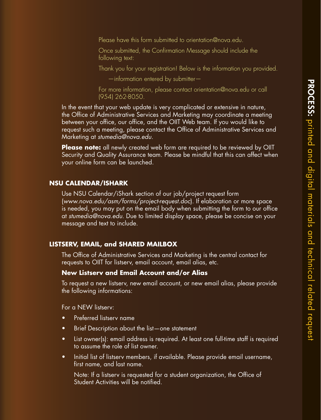Please have this form submitted to orientation@nova.edu.

Once submitted, the Confirmation Message should include the following text:

Thank you for your registration! Below is the information you provided.

—information entered by submitter—

For more information, please contact orientation@nova.edu or call (954) 262-8050.

In the event that your web update is very complicated or extensive in nature, the Office of Administrative Services and Marketing may coordinate a meeting between your office, our office, and the OIIT Web team. If you would like to request such a meeting, please contact the Office of Administrative Services and Marketing at *stumedia@nova.edu.*

**Please note:** all newly created web form are required to be reviewed by OIIT Security and Quality Assurance team. Please be mindful that this can affect when your online form can be launched.

#### **NSU CALENDAR/ISHARK**

Use NSU Calendar/iShark section of our job/project request form (*www.nova.edu/asm/forms/project-request.doc*). If elaboration or more space is needed, you may put on the email body when submitting the form to our office at *stumedia@nova.edu*. Due to limited display space, please be concise on your message and text to include.

#### **LISTSERV, EMAIL, and SHARED MAILBOX**

The Office of Administrative Services and Marketing is the central contact for requests to OIIT for listserv, email account, email alias, etc.

#### **New Listserv and Email Account and/or Alias**

To request a new listserv, new email account, or new email alias, please provide the following informations:

For a NEW listserv:

- Preferred listsery name
- Brief Description about the list—one statement
- List owner(s): email address is required. At least one full-time staff is required to assume the role of list owner.
- Initial list of listsery members, if available. Please provide email username, first name, and last name.

Note: If a listserv is requested for a student organization, the Office of Student Activities will be notified.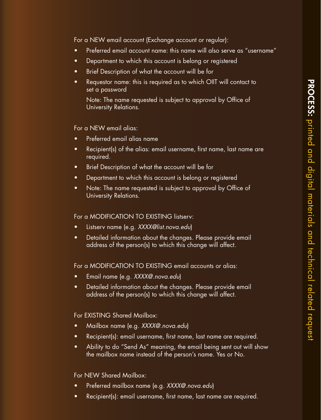For a NEW email account (Exchange account or regular):

- Preferred email account name: this name will also serve as "username"
- Department to which this account is belong or registered
- Brief Description of what the account will be for
- Requestor name: this is required as to which OIIT will contact to set a password

Note: The name requested is subject to approval by Office of University Relations.

For a NEW email alias:

- Preferred email alias name
- Recipient(s) of the alias: email username, first name, last name are required.
- Brief Description of what the account will be for
- Department to which this account is belong or registered
- Note: The name requested is subject to approval by Office of University Relations.

For a MODIFICATION TO EXISTING listserv:

- • Listserv name (e.g. *XXXX@list.nova.edu*)
- Detailed information about the changes. Please provide email address of the person(s) to which this change will affect.

For a MODIFICATION TO EXISTING email accounts or alias:

- Email name (e.g. XXXX@.nova.edu)
- Detailed information about the changes. Please provide email address of the person(s) to which this change will affect.

For EXISTING Shared Mailbox:

- • Mailbox name (e.g. *XXXX@.nova.edu*)
- Recipient(s): email username, first name, last name are required.
- Ability to do "Send As" meaning, the email being sent out will show the mailbox name instead of the person's name. Yes or No.

For NEW Shared Mailbox:

- Preferred mailbox name (e.g. XXXX@.nova.edu)
- Recipient(s): email username, first name, last name are required.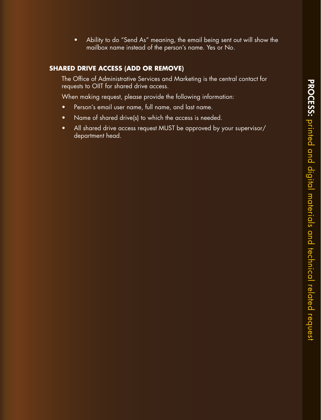• Ability to do "Send As" meaning, the email being sent out will show the mailbox name instead of the person's name. Yes or No.

# **SHARED DRIVE ACCESS (ADD OR REMOVE)**

The Office of Administrative Services and Marketing is the central contact for requests to OIIT for shared drive access.

When making request, please provide the following information:

- • Person's email user name, full name, and last name.
- Name of shared drive(s) to which the access is needed.
- All shared drive access request MUST be approved by your supervisor/ department head.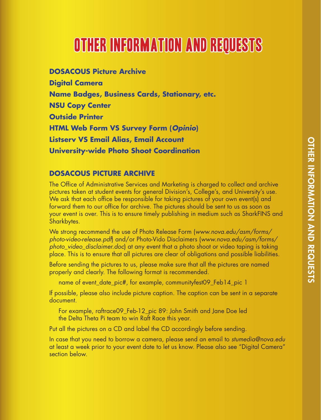# Other Information and Requests

**DOSACOUS Picture Archive Digital Camera Name Badges, Business Cards, Stationary, etc. NSU Copy Center Outside Printer HTML Web Form VS Survey Form (***Opinio***) Listserv VS Email Alias, Email Account University-wide Photo Shoot Coordination**

### **DOSACOUS PICTURE ARCHIVE**

The Office of Administrative Services and Marketing is charged to collect and archive pictures taken at student events for general Division's, College's, and University's use. We ask that each office be responsible for taking pictures of your own event(s) and forward them to our office for archive. The pictures should be sent to us as soon as your event is over. This is to ensure timely publishing in medium such as SharkFINS and Sharkbytes.

We strong recommend the use of Photo Release Form (*www.nova.edu/asm/forms/ photo-video-release.pdf*) and/or Photo-Vido Disclaimers (*www.nova.edu/asm/forms/ photo\_video\_disclaimer.doc*) at any event that a photo shoot or video taping is taking place. This is to ensure that all pictures are clear of obligations and possible liabilities.

Before sending the pictures to us, please make sure that all the pictures are named properly and clearly. The following format is recommended.

name of event\_date\_pic#, for example, communityfest09\_Feb14\_pic 1

If possible, please also include picture caption. The caption can be sent in a separate document.

For example, raftrace09\_Feb-12\_pic 89: John Smith and Jane Doe led the Delta Theta Pi team to win Raft Race this year.

Put all the pictures on a CD and label the CD accordingly before sending.

In case that you need to borrow a camera, please send an email to *stumedia@nova.edu*  at least a week prior to your event date to let us know. Please also see "Digital Camera" section below.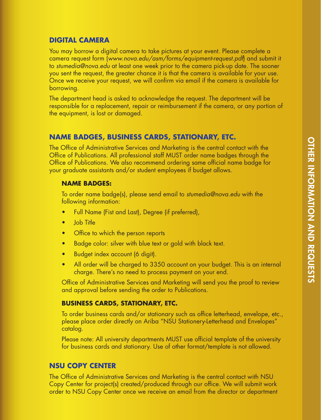# **DIGITAL CAMERA**

You may borrow a digital camera to take pictures at your event. Please complete a camera request form (*www.nova.edu/asm/forms/equipment-request.pdf*) and submit it to *stumedia@nova.edu* at least one week prior to the camera pick-up date. The sooner you sent the request, the greater chance it is that the camera is available for your use. Once we receive your request, we will confirm via email if the camera is available for borrowing.

The department head is asked to acknowledge the request. The department will be responsible for a replacement, repair or reimbursement if the camera, or any portion of the equipment, is lost or damaged.

# **NAME BADGES, BUSINESS CARDS, STATIONARY, ETC.**

The Office of Administrative Services and Marketing is the central contact with the Office of Publications. All professional staff MUST order name badges through the Office of Publications. We also recommend ordering same official name badge for your graduate assistants and/or student employees if budget allows.

#### **NAME BADGES:**

To order name badge(s), please send email to *stumedia@nova.edu* with the following information:

- Full Name (Fist and Last), Degree (if preferred),
- **Job Title**
- Office to which the person reports
- Badge color: silver with blue text or gold with black text.
- Budget index account (6 digit).
- All order will be charged to 3350 account on your budget. This is an internal charge. There's no need to process payment on your end.

Office of Administrative Services and Marketing will send you the proof to review and approval before sending the order to Publications.

#### **BUSINESS CARDS, STATIONARY, ETC.**

To order business cards and/or stationary such as office letterhead, envelope, etc., please place order directly on Ariba "NSU Stationery-Letterhead and Envelopes" catalog.

Please note: All university departments MUST use official template of the university for business cards and stationary. Use of other format/template is not allowed.

#### **NSU COPY CENTER**

The Office of Administrative Services and Marketing is the central contact with NSU Copy Center for project(s) created/produced through our office. We will submit work order to NSU Copy Center once we receive an email from the director or department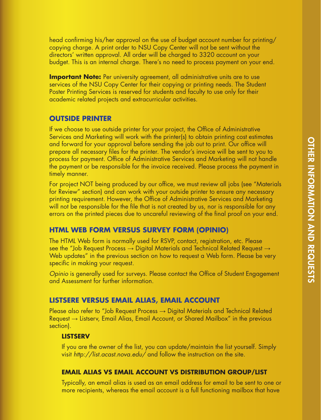head confirming his/her approval on the use of budget account number for printing/ copying charge. A print order to NSU Copy Center will not be sent without the directors' written approval. All order will be charged to 3320 account on your budget. This is an internal charge. There's no need to process payment on your end.

**Important Note:** Per university agreement, all administrative units are to use services of the NSU Copy Center for their copying or printing needs. The Student Poster Printing Services is reserved for students and faculty to use only for their academic related projects and extracurricular activities.

#### **OUTSIDE PRINTER**

If we choose to use outside printer for your project, the Office of Administrative Services and Marketing will work with the printer(s) to obtain printing cost estimates and forward for your approval before sending the job out to print. Our office will prepare all necessary files for the printer. The vendor's invoice will be sent to you to process for payment. Office of Administrative Services and Marketing will not handle the payment or be responsible for the invoice received. Please process the payment in timely manner.

For project NOT being produced by our office, we must review all jobs (see "Materials for Review" section) and can work with your outside printer to ensure any necessary printing requirement. However, the Office of Administrative Services and Marketing will not be responsible for the file that is not created by us, nor is responsible for any errors on the printed pieces due to uncareful reviewing of the final proof on your end.

#### **HTML WEB FORM VERSUS SURVEY FORM (OPINIO)**

The HTML Web form is normally used for RSVP, contact, registration, etc. Please see the "Job Request Process  $\rightarrow$  Digital Materials and Technical Related Request  $\rightarrow$ Web updates" in the previous section on how to request a Web form. Please be very specific in making your request.

*Opinio* is generally used for surveys. Please contact the Office of Student Engagement and Assessment for further information.

### **LISTSERE VERSUS EMAIL ALIAS, EMAIL ACCOUNT**

Please also refer to "Job Request Process → Digital Materials and Technical Related Request → Listserv, Email Alias, Email Account, or Shared Mailbox" in the previous section).

#### **LISTSERV**

If you are the owner of the list, you can update/maintain the list yourself. Simply visit *http://list.acast.nova.edu/* and follow the instruction on the site.

#### **EMAIL ALIAS VS EMAIL ACCOUNT VS DISTRIBUTION GROUP/LIST**

Typically, an email alias is used as an email address for email to be sent to one or more recipients, whereas the email account is a full functioning mailbox that have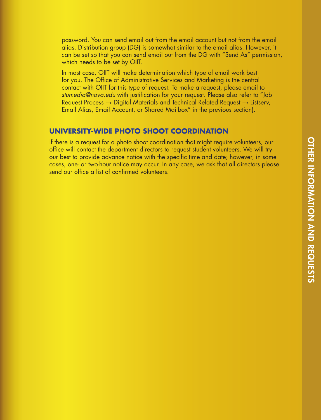password. You can send email out from the email account but not from the email alias. Distribution group (DG) is somewhat similar to the email alias. However, it can be set so that you can send email out from the DG with "Send As" permission, which needs to be set by OIIT.

In most case, OIIT will make determination which type of email work best for you. The Office of Administrative Services and Marketing is the central contact with OIIT for this type of request. To make a request, please email to *stumedia@nova.edu* with justification for your request. Please also refer to "Job Request Process  $\rightarrow$  Digital Materials and Technical Related Request  $\rightarrow$  Listserv, Email Alias, Email Account, or Shared Mailbox" in the previous section).

#### **UNIVERSITY-WIDE PHOTO SHOOT COORDINATION**

If there is a request for a photo shoot coordination that might require volunteers, our office will contact the department directors to request student volunteers. We will try our best to provide advance notice with the specific time and date; however, in some cases, one- or two-hour notice may occur. In any case, we ask that all directors please send our office a list of confirmed volunteers.